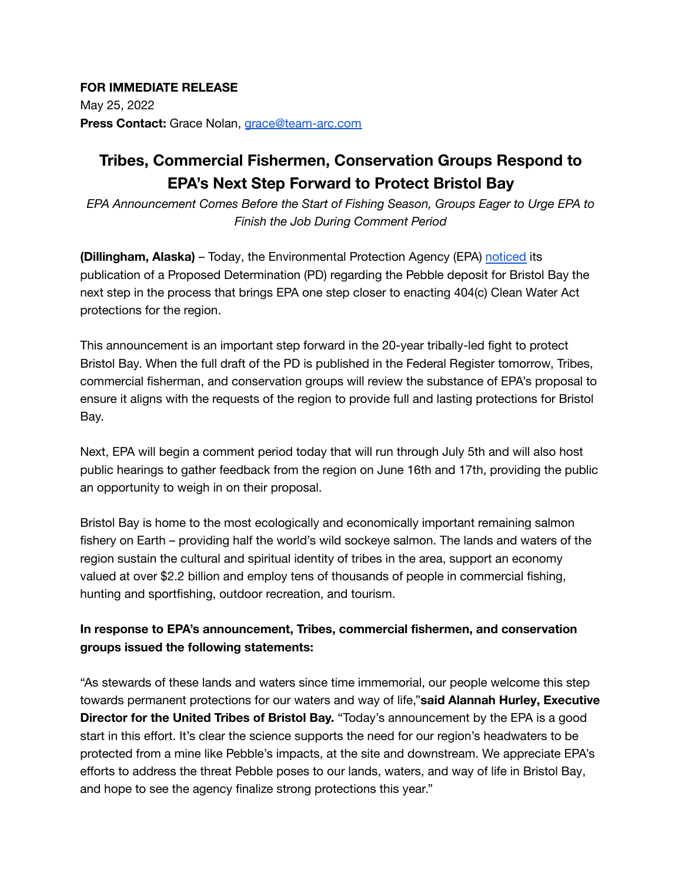## **FOR IMMEDIATE RELEASE**

May 25, 2022 **Press Contact:** Grace Nolan, [grace@team-arc.com](mailto:grace@team-arc.com)

## **Tribes, Commercial Fishermen, Conservation Groups Respond to EPA's Next Step Forward to Protect Bristol Bay**

*EPA Announcement Comes Before the Start of Fishing Season, Groups Eager to Urge EPA to Finish the Job During Comment Period*

**(Dillingham, Alaska)** – Today, the Environmental Protection Agency (EPA) [noticed](https://www.epa.gov/bristolbay) its publication of a Proposed Determination (PD) regarding the Pebble deposit for Bristol Bay the next step in the process that brings EPA one step closer to enacting 404(c) Clean Water Act protections for the region.

This announcement is an important step forward in the 20-year tribally-led fight to protect Bristol Bay. When the full draft of the PD is published in the Federal Register tomorrow, Tribes, commercial fisherman, and conservation groups will review the substance of EPA's proposal to ensure it aligns with the requests of the region to provide full and lasting protections for Bristol Bay.

Next, EPA will begin a comment period today that will run through July 5th and will also host public hearings to gather feedback from the region on June 16th and 17th, providing the public an opportunity to weigh in on their proposal.

Bristol Bay is home to the most ecologically and economically important remaining salmon fishery on Earth – providing half the world's wild sockeye salmon. The lands and waters of the region sustain the cultural and spiritual identity of tribes in the area, support an economy valued at over \$2.2 billion and employ tens of thousands of people in commercial fishing, hunting and sportfishing, outdoor recreation, and tourism.

## **In response to EPA's announcement, Tribes, commercial fishermen, and conservation groups issued the following statements:**

"As stewards of these lands and waters since time immemorial, our people welcome this step towards permanent protections for our waters and way of life,"**said Alannah Hurley, Executive Director for the United Tribes of Bristol Bay.** "Today's announcement by the EPA is a good start in this effort. It's clear the science supports the need for our region's headwaters to be protected from a mine like Pebble's impacts, at the site and downstream. We appreciate EPA's efforts to address the threat Pebble poses to our lands, waters, and way of life in Bristol Bay, and hope to see the agency finalize strong protections this year."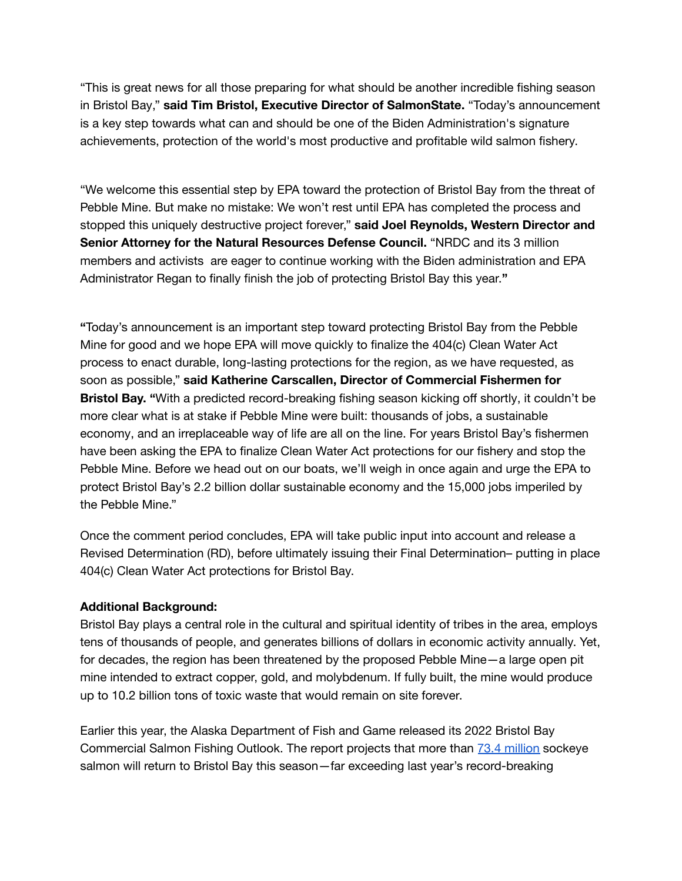"This is great news for all those preparing for what should be another incredible fishing season in Bristol Bay," **said Tim Bristol, Executive Director of SalmonState.** "Today's announcement is a key step towards what can and should be one of the Biden Administration's signature achievements, protection of the world's most productive and profitable wild salmon fishery.

"We welcome this essential step by EPA toward the protection of Bristol Bay from the threat of Pebble Mine. But make no mistake: We won't rest until EPA has completed the process and stopped this uniquely destructive project forever," **said Joel Reynolds, Western Director and Senior Attorney for the Natural Resources Defense Council.** "NRDC and its 3 million members and activists are eager to continue working with the Biden administration and EPA Administrator Regan to finally finish the job of protecting Bristol Bay this year.**"**

**"**Today's announcement is an important step toward protecting Bristol Bay from the Pebble Mine for good and we hope EPA will move quickly to finalize the 404(c) Clean Water Act process to enact durable, long-lasting protections for the region, as we have requested, as soon as possible," **said Katherine Carscallen, Director of Commercial Fishermen for Bristol Bay. "**With a predicted record-breaking fishing season kicking off shortly, it couldn't be more clear what is at stake if Pebble Mine were built: thousands of jobs, a sustainable economy, and an irreplaceable way of life are all on the line. For years Bristol Bay's fishermen have been asking the EPA to finalize Clean Water Act protections for our fishery and stop the Pebble Mine. Before we head out on our boats, we'll weigh in once again and urge the EPA to protect Bristol Bay's 2.2 billion dollar sustainable economy and the 15,000 jobs imperiled by the Pebble Mine."

Once the comment period concludes, EPA will take public input into account and release a Revised Determination (RD), before ultimately issuing their Final Determination– putting in place 404(c) Clean Water Act protections for Bristol Bay.

## **Additional Background:**

Bristol Bay plays a central role in the cultural and spiritual identity of tribes in the area, employs tens of thousands of people, and generates billions of dollars in economic activity annually. Yet, for decades, the region has been threatened by the proposed Pebble Mine—a large open pit mine intended to extract copper, gold, and molybdenum. If fully built, the mine would produce up to 10.2 billion tons of toxic waste that would remain on site forever.

Earlier this year, the Alaska Department of Fish and Game released its 2022 Bristol Bay Commercial Salmon Fishing Outlook. The report projects that more than 73.4 [million](http://www.adfg.alaska.gov/static/applications/dcfnewsrelease/1357155738.pdf) sockeye salmon will return to Bristol Bay this season—far exceeding last year's record-breaking